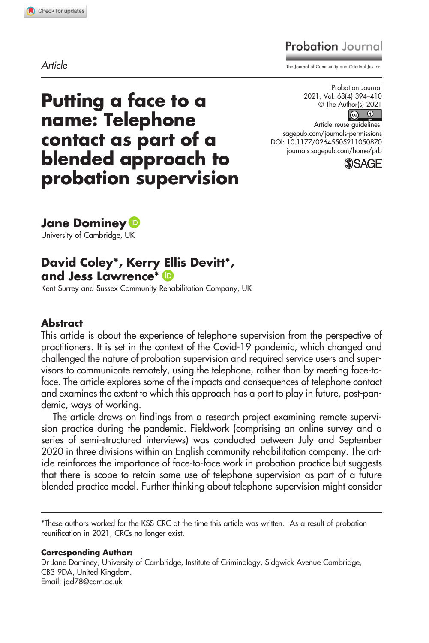# **Probation** Journal

Article The Journal of Community and Criminal Justice

Putting a face to a name: Telephone contact as part of a blended approach to probation supervision

Probation Journal 2021, Vol. 68(4) 394–410 © The Author(s) 2021

 $\boxed{6}$ Article reuse guidelines: [sagepub.com/journals-permissions](https://us.sagepub.com/en-us/journals-permissions) DOI: 10.1177/02645505211050870 [journals.sagepub.com/home/prb](https://journals.sagepub.com/home/prb)



Jane Dominey **D** 

University of Cambridge, UK

# David Coley\*, Kerry Ellis Devitt\*, and Jess Lawrence\*

Kent Surrey and Sussex Community Rehabilitation Company, UK

#### Abstract

This article is about the experience of telephone supervision from the perspective of practitioners. It is set in the context of the Covid-19 pandemic, which changed and challenged the nature of probation supervision and required service users and supervisors to communicate remotely, using the telephone, rather than by meeting face-toface. The article explores some of the impacts and consequences of telephone contact and examines the extent to which this approach has a part to play in future, post-pandemic, ways of working.

The article draws on findings from a research project examining remote supervision practice during the pandemic. Fieldwork (comprising an online survey and a series of semi-structured interviews) was conducted between July and September 2020 in three divisions within an English community rehabilitation company. The article reinforces the importance of face-to-face work in probation practice but suggests that there is scope to retain some use of telephone supervision as part of a future blended practice model. Further thinking about telephone supervision might consider

\*These authors worked for the KSS CRC at the time this article was written. As a result of probation reunification in 2021, CRCs no longer exist.

Corresponding Author:

Dr Jane Dominey, University of Cambridge, Institute of Criminology, Sidgwick Avenue Cambridge, CB3 9DA, United Kingdom. Email: [jad78@cam.ac.uk](mailto:jad78@cam.ac.uk)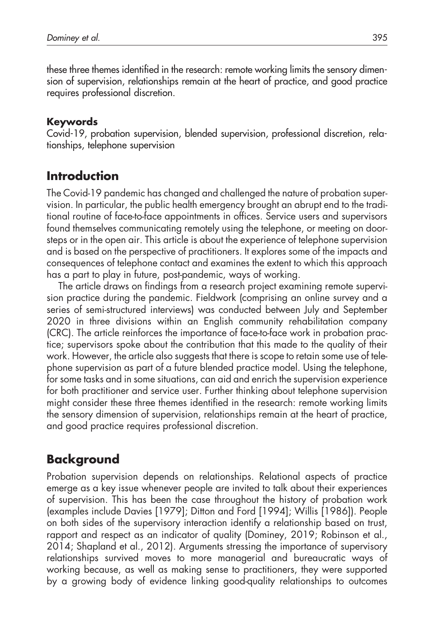these three themes identified in the research: remote working limits the sensory dimension of supervision, relationships remain at the heart of practice, and good practice requires professional discretion.

### Keywords

Covid-19, probation supervision, blended supervision, professional discretion, relationships, telephone supervision

## Introduction

The Covid-19 pandemic has changed and challenged the nature of probation supervision. In particular, the public health emergency brought an abrupt end to the traditional routine of face-to-face appointments in offices. Service users and supervisors found themselves communicating remotely using the telephone, or meeting on doorsteps or in the open air. This article is about the experience of telephone supervision and is based on the perspective of practitioners. It explores some of the impacts and consequences of telephone contact and examines the extent to which this approach has a part to play in future, post-pandemic, ways of working.

The article draws on findings from a research project examining remote supervision practice during the pandemic. Fieldwork (comprising an online survey and a series of semi-structured interviews) was conducted between July and September 2020 in three divisions within an English community rehabilitation company (CRC). The article reinforces the importance of face-to-face work in probation practice; supervisors spoke about the contribution that this made to the quality of their work. However, the article also suggests that there is scope to retain some use of telephone supervision as part of a future blended practice model. Using the telephone, for some tasks and in some situations, can aid and enrich the supervision experience for both practitioner and service user. Further thinking about telephone supervision might consider these three themes identified in the research: remote working limits the sensory dimension of supervision, relationships remain at the heart of practice, and good practice requires professional discretion.

## Background

Probation supervision depends on relationships. Relational aspects of practice emerge as a key issue whenever people are invited to talk about their experiences of supervision. This has been the case throughout the history of probation work (examples include Davies [1979]; Ditton and Ford [1994]; Willis [1986]). People on both sides of the supervisory interaction identify a relationship based on trust, rapport and respect as an indicator of quality (Dominey, 2019; Robinson et al., 2014; Shapland et al., 2012). Arguments stressing the importance of supervisory relationships survived moves to more managerial and bureaucratic ways of working because, as well as making sense to practitioners, they were supported by a growing body of evidence linking good-quality relationships to outcomes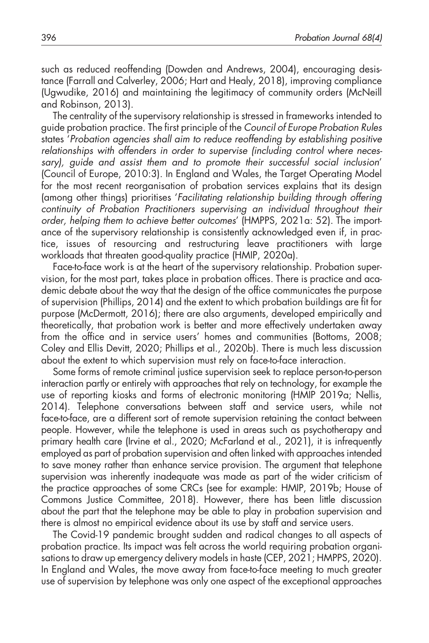such as reduced reoffending (Dowden and Andrews, 2004), encouraging desistance (Farrall and Calverley, 2006; Hart and Healy, 2018), improving compliance (Ugwudike, 2016) and maintaining the legitimacy of community orders (McNeill and Robinson, 2013).

The centrality of the supervisory relationship is stressed in frameworks intended to guide probation practice. The first principle of the Council of Europe Probation Rules states 'Probation agencies shall aim to reduce reoffending by establishing positive relationships with offenders in order to supervise (including control where necessary), guide and assist them and to promote their successful social inclusion' (Council of Europe, 2010:3). In England and Wales, the Target Operating Model for the most recent reorganisation of probation services explains that its design (among other things) prioritises 'Facilitating relationship building through offering continuity of Probation Practitioners supervising an individual throughout their order, helping them to achieve better outcomes' (HMPPS, 2021a: 52). The importance of the supervisory relationship is consistently acknowledged even if, in practice, issues of resourcing and restructuring leave practitioners with large workloads that threaten good-quality practice (HMIP, 2020a).

Face-to-face work is at the heart of the supervisory relationship. Probation supervision, for the most part, takes place in probation offices. There is practice and academic debate about the way that the design of the office communicates the purpose of supervision (Phillips, 2014) and the extent to which probation buildings are fit for purpose (McDermott, 2016); there are also arguments, developed empirically and theoretically, that probation work is better and more effectively undertaken away from the office and in service users' homes and communities (Bottoms, 2008; Coley and Ellis Devitt, 2020; Phillips et al., 2020b). There is much less discussion about the extent to which supervision must rely on face-to-face interaction.

Some forms of remote criminal justice supervision seek to replace person-to-person interaction partly or entirely with approaches that rely on technology, for example the use of reporting kiosks and forms of electronic monitoring (HMIP 2019a; Nellis, 2014). Telephone conversations between staff and service users, while not face-to-face, are a different sort of remote supervision retaining the contact between people. However, while the telephone is used in areas such as psychotherapy and primary health care (Irvine et al., 2020; McFarland et al., 2021), it is infrequently employed as part of probation supervision and often linked with approaches intended to save money rather than enhance service provision. The argument that telephone supervision was inherently inadequate was made as part of the wider criticism of the practice approaches of some CRCs (see for example: HMIP, 2019b; House of Commons Justice Committee, 2018). However, there has been little discussion about the part that the telephone may be able to play in probation supervision and there is almost no empirical evidence about its use by staff and service users.

The Covid-19 pandemic brought sudden and radical changes to all aspects of probation practice. Its impact was felt across the world requiring probation organisations to draw up emergency delivery models in haste (CEP, 2021; HMPPS, 2020). In England and Wales, the move away from face-to-face meeting to much greater use of supervision by telephone was only one aspect of the exceptional approaches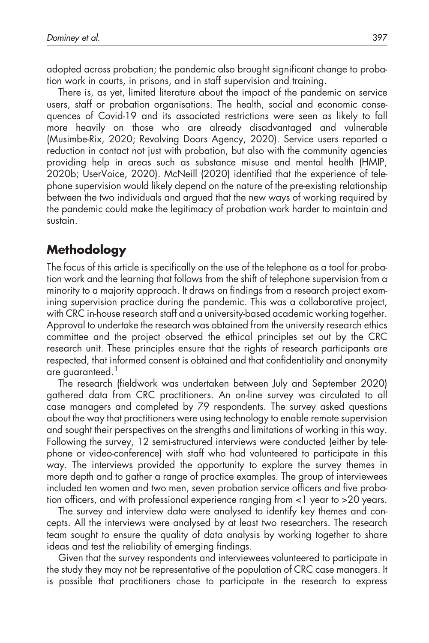adopted across probation; the pandemic also brought significant change to probation work in courts, in prisons, and in staff supervision and training.

There is, as yet, limited literature about the impact of the pandemic on service users, staff or probation organisations. The health, social and economic consequences of Covid-19 and its associated restrictions were seen as likely to fall more heavily on those who are already disadvantaged and vulnerable (Musimbe-Rix, 2020; Revolving Doors Agency, 2020). Service users reported a reduction in contact not just with probation, but also with the community agencies providing help in areas such as substance misuse and mental health (HMIP, 2020b; UserVoice, 2020). McNeill (2020) identified that the experience of telephone supervision would likely depend on the nature of the pre-existing relationship between the two individuals and argued that the new ways of working required by the pandemic could make the legitimacy of probation work harder to maintain and sustain.

# Methodology

The focus of this article is specifically on the use of the telephone as a tool for probation work and the learning that follows from the shift of telephone supervision from a minority to a majority approach. It draws on findings from a research project examining supervision practice during the pandemic. This was a collaborative project, with CRC in-house research staff and a university-based academic working together. Approval to undertake the research was obtained from the university research ethics committee and the project observed the ethical principles set out by the CRC research unit. These principles ensure that the rights of research participants are respected, that informed consent is obtained and that confidentiality and anonymity are guaranteed.<sup>1</sup>

The research (fieldwork was undertaken between July and September 2020) gathered data from CRC practitioners. An on-line survey was circulated to all case managers and completed by 79 respondents. The survey asked questions about the way that practitioners were using technology to enable remote supervision and sought their perspectives on the strengths and limitations of working in this way. Following the survey, 12 semi-structured interviews were conducted (either by telephone or video-conference) with staff who had volunteered to participate in this way. The interviews provided the opportunity to explore the survey themes in more depth and to gather a range of practice examples. The group of interviewees included ten women and two men, seven probation service officers and five probation officers, and with professional experience ranging from <1 year to >20 years.

The survey and interview data were analysed to identify key themes and concepts. All the interviews were analysed by at least two researchers. The research team sought to ensure the quality of data analysis by working together to share ideas and test the reliability of emerging findings.

Given that the survey respondents and interviewees volunteered to participate in the study they may not be representative of the population of CRC case managers. It is possible that practitioners chose to participate in the research to express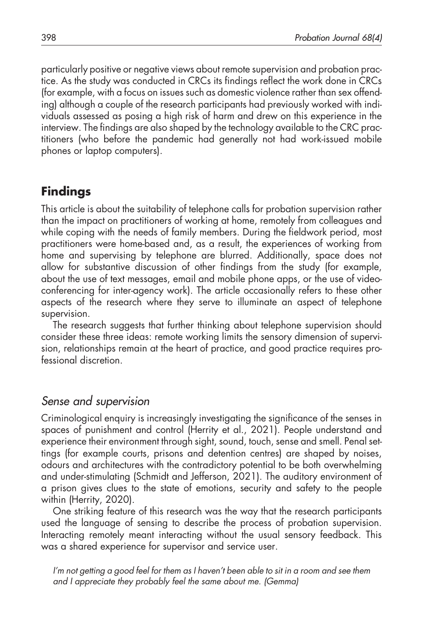particularly positive or negative views about remote supervision and probation practice. As the study was conducted in CRCs its findings reflect the work done in CRCs (for example, with a focus on issues such as domestic violence rather than sex offending) although a couple of the research participants had previously worked with individuals assessed as posing a high risk of harm and drew on this experience in the interview. The findings are also shaped by the technology available to the CRC practitioners (who before the pandemic had generally not had work-issued mobile phones or laptop computers).

## Findings

This article is about the suitability of telephone calls for probation supervision rather than the impact on practitioners of working at home, remotely from colleagues and while coping with the needs of family members. During the fieldwork period, most practitioners were home-based and, as a result, the experiences of working from home and supervising by telephone are blurred. Additionally, space does not allow for substantive discussion of other findings from the study (for example, about the use of text messages, email and mobile phone apps, or the use of videoconferencing for inter-agency work). The article occasionally refers to these other aspects of the research where they serve to illuminate an aspect of telephone supervision.

The research suggests that further thinking about telephone supervision should consider these three ideas: remote working limits the sensory dimension of supervision, relationships remain at the heart of practice, and good practice requires professional discretion.

## Sense and supervision

Criminological enquiry is increasingly investigating the significance of the senses in spaces of punishment and control (Herrity et al., 2021). People understand and experience their environment through sight, sound, touch, sense and smell. Penal settings (for example courts, prisons and detention centres) are shaped by noises, odours and architectures with the contradictory potential to be both overwhelming and under-stimulating (Schmidt and Jefferson, 2021). The auditory environment of a prison gives clues to the state of emotions, security and safety to the people within (Herrity, 2020).

One striking feature of this research was the way that the research participants used the language of sensing to describe the process of probation supervision. Interacting remotely meant interacting without the usual sensory feedback. This was a shared experience for supervisor and service user.

I'm not getting a good feel for them as I haven't been able to sit in a room and see them and I appreciate they probably feel the same about me. (Gemma)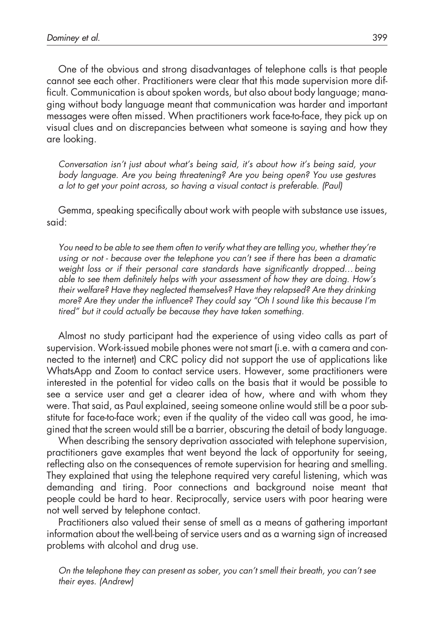One of the obvious and strong disadvantages of telephone calls is that people cannot see each other. Practitioners were clear that this made supervision more difficult. Communication is about spoken words, but also about body language; managing without body language meant that communication was harder and important messages were often missed. When practitioners work face-to-face, they pick up on visual clues and on discrepancies between what someone is saying and how they are looking.

Conversation isn't just about what's being said, it's about how it's being said, your body language. Are you being threatening? Are you being open? You use gestures a lot to get your point across, so having a visual contact is preferable. (Paul)

Gemma, speaking specifically about work with people with substance use issues, said:

You need to be able to see them often to verify what they are telling you, whether they're using or not - because over the telephone you can't see if there has been a dramatic weight loss or if their personal care standards have significantly dropped…being able to see them definitely helps with your assessment of how they are doing. How's their welfare? Have they neglected themselves? Have they relapsed? Are they drinking more? Are they under the influence? They could say "Oh I sound like this because I'm tired" but it could actually be because they have taken something.

Almost no study participant had the experience of using video calls as part of supervision. Work-issued mobile phones were not smart (i.e. with a camera and connected to the internet) and CRC policy did not support the use of applications like WhatsApp and Zoom to contact service users. However, some practitioners were interested in the potential for video calls on the basis that it would be possible to see a service user and get a clearer idea of how, where and with whom they were. That said, as Paul explained, seeing someone online would still be a poor substitute for face-to-face work; even if the quality of the video call was good, he imagined that the screen would still be a barrier, obscuring the detail of body language.

When describing the sensory deprivation associated with telephone supervision, practitioners gave examples that went beyond the lack of opportunity for seeing, reflecting also on the consequences of remote supervision for hearing and smelling. They explained that using the telephone required very careful listening, which was demanding and tiring. Poor connections and background noise meant that people could be hard to hear. Reciprocally, service users with poor hearing were not well served by telephone contact.

Practitioners also valued their sense of smell as a means of gathering important information about the well-being of service users and as a warning sign of increased problems with alcohol and drug use.

On the telephone they can present as sober, you can't smell their breath, you can't see their eyes. (Andrew)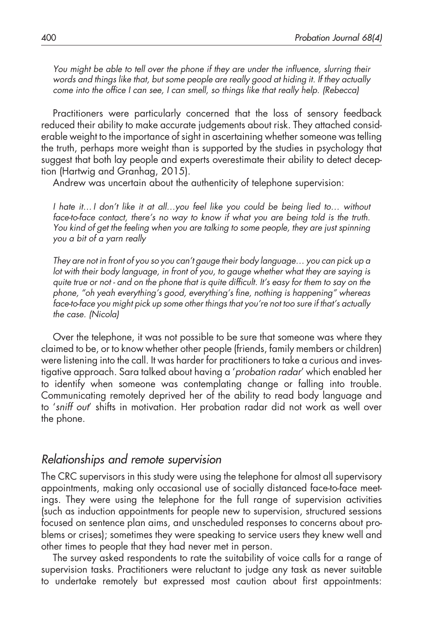You might be able to tell over the phone if they are under the influence, slurring their words and things like that, but some people are really good at hiding it. If they actually come into the office I can see, I can smell, so things like that really help. (Rebecca)

Practitioners were particularly concerned that the loss of sensory feedback reduced their ability to make accurate judgements about risk. They attached considerable weight to the importance of sight in ascertaining whether someone was telling the truth, perhaps more weight than is supported by the studies in psychology that suggest that both lay people and experts overestimate their ability to detect deception (Hartwig and Granhag, 2015).

Andrew was uncertain about the authenticity of telephone supervision:

I hate it…I don't like it at all…you feel like you could be being lied to… without face-to-face contact, there's no way to know if what you are being told is the truth. You kind of get the feeling when you are talking to some people, they are just spinning you a bit of a yarn really

They are not in front of you so you can't gauge their body language… you can pick up a lot with their body language, in front of you, to gauge whether what they are saying is quite true or not - and on the phone that is quite difficult. It's easy for them to say on the phone, "oh yeah everything's good, everything's fine, nothing is happening" whereas face-to-face you might pick up some other things that you're not too sure if that's actually the case. (Nicola)

Over the telephone, it was not possible to be sure that someone was where they claimed to be, or to know whether other people (friends, family members or children) were listening into the call. It was harder for practitioners to take a curious and investigative approach. Sara talked about having a 'probation radar' which enabled her to identify when someone was contemplating change or falling into trouble. Communicating remotely deprived her of the ability to read body language and to 'sniff out' shifts in motivation. Her probation radar did not work as well over the phone.

#### Relationships and remote supervision

The CRC supervisors in this study were using the telephone for almost all supervisory appointments, making only occasional use of socially distanced face-to-face meetings. They were using the telephone for the full range of supervision activities (such as induction appointments for people new to supervision, structured sessions focused on sentence plan aims, and unscheduled responses to concerns about problems or crises); sometimes they were speaking to service users they knew well and other times to people that they had never met in person.

The survey asked respondents to rate the suitability of voice calls for a range of supervision tasks. Practitioners were reluctant to judge any task as never suitable to undertake remotely but expressed most caution about first appointments: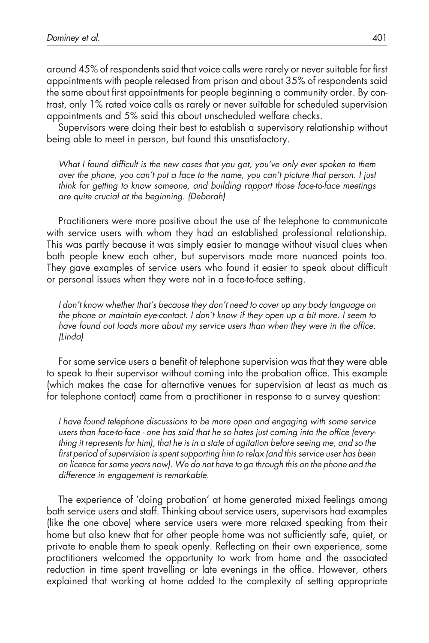around 45% of respondents said that voice calls were rarely or never suitable for first appointments with people released from prison and about 35% of respondents said the same about first appointments for people beginning a community order. By contrast, only 1% rated voice calls as rarely or never suitable for scheduled supervision appointments and 5% said this about unscheduled welfare checks.

Supervisors were doing their best to establish a supervisory relationship without being able to meet in person, but found this unsatisfactory.

What I found difficult is the new cases that you got, you've only ever spoken to them over the phone, you can't put a face to the name, you can't picture that person. I just think for getting to know someone, and building rapport those face-to-face meetings are quite crucial at the beginning. (Deborah)

Practitioners were more positive about the use of the telephone to communicate with service users with whom they had an established professional relationship. This was partly because it was simply easier to manage without visual clues when both people knew each other, but supervisors made more nuanced points too. They gave examples of service users who found it easier to speak about difficult or personal issues when they were not in a face-to-face setting.

I don't know whether that's because they don't need to cover up any body language on the phone or maintain eye-contact. I don't know if they open up a bit more. I seem to have found out loads more about my service users than when they were in the office. (Linda)

For some service users a benefit of telephone supervision was that they were able to speak to their supervisor without coming into the probation office. This example (which makes the case for alternative venues for supervision at least as much as for telephone contact) came from a practitioner in response to a survey question:

I have found telephone discussions to be more open and engaging with some service users than face-to-face - one has said that he so hates just coming into the office (everything it represents for him), that he is in a state of agitation before seeing me, and so the first period of supervision is spent supporting him to relax (and this service user has been on licence for some years now). We do not have to go through this on the phone and the difference in engagement is remarkable.

The experience of 'doing probation' at home generated mixed feelings among both service users and staff. Thinking about service users, supervisors had examples (like the one above) where service users were more relaxed speaking from their home but also knew that for other people home was not sufficiently safe, quiet, or private to enable them to speak openly. Reflecting on their own experience, some practitioners welcomed the opportunity to work from home and the associated reduction in time spent travelling or late evenings in the office. However, others explained that working at home added to the complexity of setting appropriate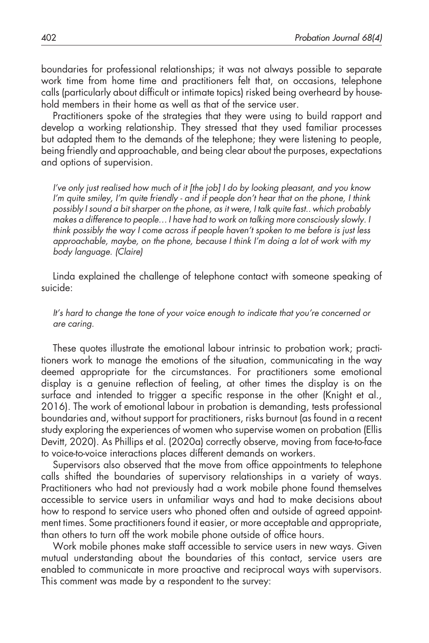boundaries for professional relationships; it was not always possible to separate work time from home time and practitioners felt that, on occasions, telephone calls (particularly about difficult or intimate topics) risked being overheard by household members in their home as well as that of the service user.

Practitioners spoke of the strategies that they were using to build rapport and develop a working relationship. They stressed that they used familiar processes but adapted them to the demands of the telephone; they were listening to people, being friendly and approachable, and being clear about the purposes, expectations and options of supervision.

I've only just realised how much of it [the job] I do by looking pleasant, and you know I'm quite smiley, I'm quite friendly - and if people don't hear that on the phone, I think possibly I sound a bit sharper on the phone, as it were, I talk quite fast.. which probably makes a difference to people…I have had to work on talking more consciously slowly. I think possibly the way I come across if people haven't spoken to me before is just less approachable, maybe, on the phone, because I think I'm doing a lot of work with my body language. (Claire)

Linda explained the challenge of telephone contact with someone speaking of suicide:

It's hard to change the tone of your voice enough to indicate that you're concerned or are caring.

These quotes illustrate the emotional labour intrinsic to probation work; practitioners work to manage the emotions of the situation, communicating in the way deemed appropriate for the circumstances. For practitioners some emotional display is a genuine reflection of feeling, at other times the display is on the surface and intended to trigger a specific response in the other (Knight et al., 2016). The work of emotional labour in probation is demanding, tests professional boundaries and, without support for practitioners, risks burnout (as found in a recent study exploring the experiences of women who supervise women on probation (Ellis Devitt, 2020). As Phillips et al. (2020a) correctly observe, moving from face-to-face to voice-to-voice interactions places different demands on workers.

Supervisors also observed that the move from office appointments to telephone calls shifted the boundaries of supervisory relationships in a variety of ways. Practitioners who had not previously had a work mobile phone found themselves accessible to service users in unfamiliar ways and had to make decisions about how to respond to service users who phoned often and outside of agreed appointment times. Some practitioners found it easier, or more acceptable and appropriate, than others to turn off the work mobile phone outside of office hours.

Work mobile phones make staff accessible to service users in new ways. Given mutual understanding about the boundaries of this contact, service users are enabled to communicate in more proactive and reciprocal ways with supervisors. This comment was made by a respondent to the survey: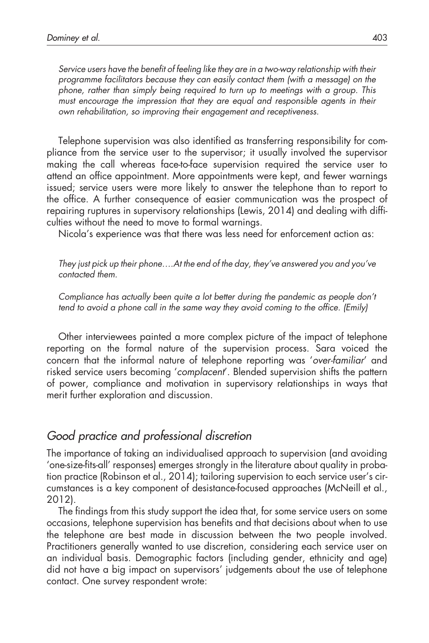Service users have the benefit of feeling like they are in a two-way relationship with their programme facilitators because they can easily contact them (with a message) on the phone, rather than simply being required to turn up to meetings with a group. This must encourage the impression that they are equal and responsible agents in their own rehabilitation, so improving their engagement and receptiveness.

Telephone supervision was also identified as transferring responsibility for compliance from the service user to the supervisor; it usually involved the supervisor making the call whereas face-to-face supervision required the service user to attend an office appointment. More appointments were kept, and fewer warnings issued; service users were more likely to answer the telephone than to report to the office. A further consequence of easier communication was the prospect of repairing ruptures in supervisory relationships (Lewis, 2014) and dealing with difficulties without the need to move to formal warnings.

Nicola's experience was that there was less need for enforcement action as:

They just pick up their phone….At the end of the day, they've answered you and you've contacted them.

Compliance has actually been quite a lot better during the pandemic as people don't tend to avoid a phone call in the same way they avoid coming to the office. (Emily)

Other interviewees painted a more complex picture of the impact of telephone reporting on the formal nature of the supervision process. Sara voiced the concern that the informal nature of telephone reporting was 'over-familiar' and risked service users becoming 'complacent'. Blended supervision shifts the pattern of power, compliance and motivation in supervisory relationships in ways that merit further exploration and discussion.

### Good practice and professional discretion

The importance of taking an individualised approach to supervision (and avoiding 'one-size-fits-all' responses) emerges strongly in the literature about quality in probation practice (Robinson et al., 2014); tailoring supervision to each service user's circumstances is a key component of desistance-focused approaches (McNeill et al., 2012).

The findings from this study support the idea that, for some service users on some occasions, telephone supervision has benefits and that decisions about when to use the telephone are best made in discussion between the two people involved. Practitioners generally wanted to use discretion, considering each service user on an individual basis. Demographic factors (including gender, ethnicity and age) did not have a big impact on supervisors' judgements about the use of telephone contact. One survey respondent wrote: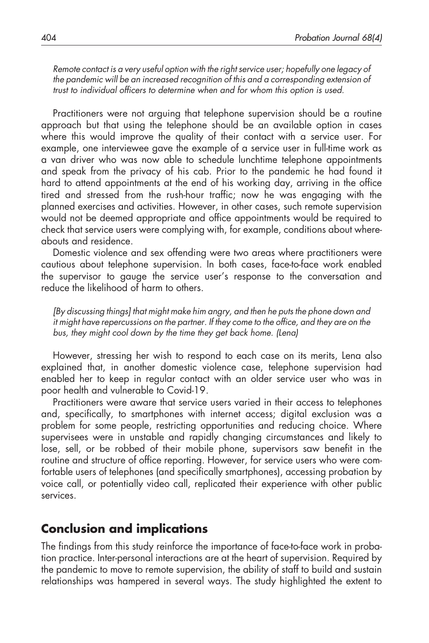Remote contact is a very useful option with the right service user; hopefully one legacy of the pandemic will be an increased recognition of this and a corresponding extension of trust to individual officers to determine when and for whom this option is used.

Practitioners were not arguing that telephone supervision should be a routine approach but that using the telephone should be an available option in cases where this would improve the quality of their contact with a service user. For example, one interviewee gave the example of a service user in full-time work as a van driver who was now able to schedule lunchtime telephone appointments and speak from the privacy of his cab. Prior to the pandemic he had found it hard to attend appointments at the end of his working day, arriving in the office tired and stressed from the rush-hour traffic; now he was engaging with the planned exercises and activities. However, in other cases, such remote supervision would not be deemed appropriate and office appointments would be required to check that service users were complying with, for example, conditions about whereabouts and residence.

Domestic violence and sex offending were two areas where practitioners were cautious about telephone supervision. In both cases, face-to-face work enabled the supervisor to gauge the service user's response to the conversation and reduce the likelihood of harm to others.

[By discussing things] that might make him angry, and then he puts the phone down and it might have repercussions on the partner. If they come to the office, and they are on the bus, they might cool down by the time they get back home. (Lena)

However, stressing her wish to respond to each case on its merits, Lena also explained that, in another domestic violence case, telephone supervision had enabled her to keep in regular contact with an older service user who was in poor health and vulnerable to Covid-19.

Practitioners were aware that service users varied in their access to telephones and, specifically, to smartphones with internet access; digital exclusion was a problem for some people, restricting opportunities and reducing choice. Where supervisees were in unstable and rapidly changing circumstances and likely to lose, sell, or be robbed of their mobile phone, supervisors saw benefit in the routine and structure of office reporting. However, for service users who were comfortable users of telephones (and specifically smartphones), accessing probation by voice call, or potentially video call, replicated their experience with other public services.

## Conclusion and implications

The findings from this study reinforce the importance of face-to-face work in probation practice. Inter-personal interactions are at the heart of supervision. Required by the pandemic to move to remote supervision, the ability of staff to build and sustain relationships was hampered in several ways. The study highlighted the extent to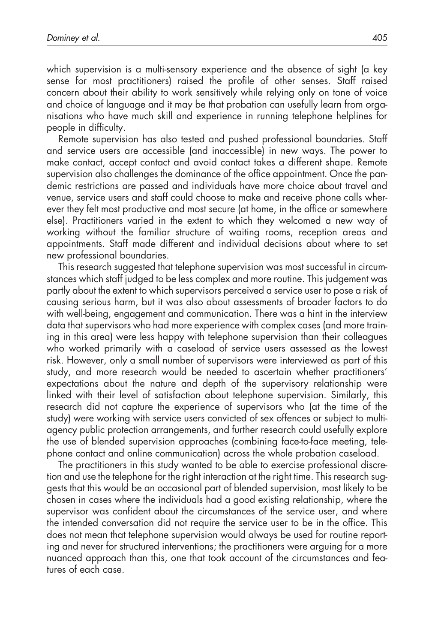which supervision is a multi-sensory experience and the absence of sight (a key sense for most practitioners) raised the profile of other senses. Staff raised concern about their ability to work sensitively while relying only on tone of voice and choice of language and it may be that probation can usefully learn from organisations who have much skill and experience in running telephone helplines for people in difficulty.

Remote supervision has also tested and pushed professional boundaries. Staff and service users are accessible (and inaccessible) in new ways. The power to make contact, accept contact and avoid contact takes a different shape. Remote supervision also challenges the dominance of the office appointment. Once the pandemic restrictions are passed and individuals have more choice about travel and venue, service users and staff could choose to make and receive phone calls wherever they felt most productive and most secure (at home, in the office or somewhere else). Practitioners varied in the extent to which they welcomed a new way of working without the familiar structure of waiting rooms, reception areas and appointments. Staff made different and individual decisions about where to set new professional boundaries.

This research suggested that telephone supervision was most successful in circumstances which staff judged to be less complex and more routine. This judgement was partly about the extent to which supervisors perceived a service user to pose a risk of causing serious harm, but it was also about assessments of broader factors to do with well-being, engagement and communication. There was a hint in the interview data that supervisors who had more experience with complex cases (and more training in this area) were less happy with telephone supervision than their colleagues who worked primarily with a caseload of service users assessed as the lowest risk. However, only a small number of supervisors were interviewed as part of this study, and more research would be needed to ascertain whether practitioners' expectations about the nature and depth of the supervisory relationship were linked with their level of satisfaction about telephone supervision. Similarly, this research did not capture the experience of supervisors who (at the time of the study) were working with service users convicted of sex offences or subject to multiagency public protection arrangements, and further research could usefully explore the use of blended supervision approaches (combining face-to-face meeting, telephone contact and online communication) across the whole probation caseload.

The practitioners in this study wanted to be able to exercise professional discretion and use the telephone for the right interaction at the right time. This research suggests that this would be an occasional part of blended supervision, most likely to be chosen in cases where the individuals had a good existing relationship, where the supervisor was confident about the circumstances of the service user, and where the intended conversation did not require the service user to be in the office. This does not mean that telephone supervision would always be used for routine reporting and never for structured interventions; the practitioners were arguing for a more nuanced approach than this, one that took account of the circumstances and features of each case.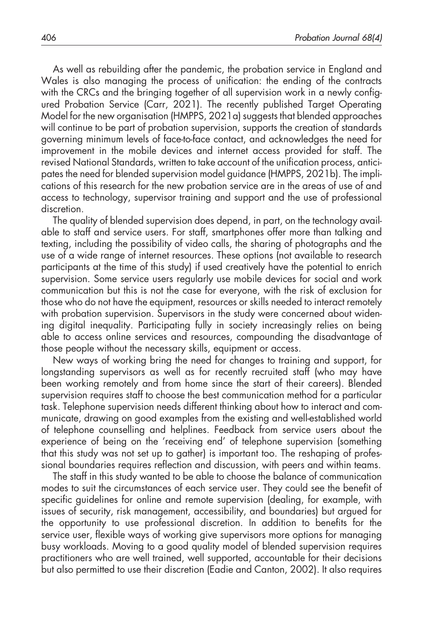As well as rebuilding after the pandemic, the probation service in England and Wales is also managing the process of unification: the ending of the contracts with the CRCs and the bringing together of all supervision work in a newly configured Probation Service (Carr, 2021). The recently published Target Operating Model for the new organisation (HMPPS, 2021a) suggests that blended approaches will continue to be part of probation supervision, supports the creation of standards governing minimum levels of face-to-face contact, and acknowledges the need for improvement in the mobile devices and internet access provided for staff. The revised National Standards, written to take account of the unification process, anticipates the need for blended supervision model guidance (HMPPS, 2021b). The implications of this research for the new probation service are in the areas of use of and access to technology, supervisor training and support and the use of professional discretion.

The quality of blended supervision does depend, in part, on the technology available to staff and service users. For staff, smartphones offer more than talking and texting, including the possibility of video calls, the sharing of photographs and the use of a wide range of internet resources. These options (not available to research participants at the time of this study) if used creatively have the potential to enrich supervision. Some service users regularly use mobile devices for social and work communication but this is not the case for everyone, with the risk of exclusion for those who do not have the equipment, resources or skills needed to interact remotely with probation supervision. Supervisors in the study were concerned about widening digital inequality. Participating fully in society increasingly relies on being able to access online services and resources, compounding the disadvantage of those people without the necessary skills, equipment or access.

New ways of working bring the need for changes to training and support, for longstanding supervisors as well as for recently recruited staff (who may have been working remotely and from home since the start of their careers). Blended supervision requires staff to choose the best communication method for a particular task. Telephone supervision needs different thinking about how to interact and communicate, drawing on good examples from the existing and well-established world of telephone counselling and helplines. Feedback from service users about the experience of being on the 'receiving end' of telephone supervision (something that this study was not set up to gather) is important too. The reshaping of professional boundaries requires reflection and discussion, with peers and within teams.

The staff in this study wanted to be able to choose the balance of communication modes to suit the circumstances of each service user. They could see the benefit of specific guidelines for online and remote supervision (dealing, for example, with issues of security, risk management, accessibility, and boundaries) but argued for the opportunity to use professional discretion. In addition to benefits for the service user, flexible ways of working give supervisors more options for managing busy workloads. Moving to a good quality model of blended supervision requires practitioners who are well trained, well supported, accountable for their decisions but also permitted to use their discretion (Eadie and Canton, 2002). It also requires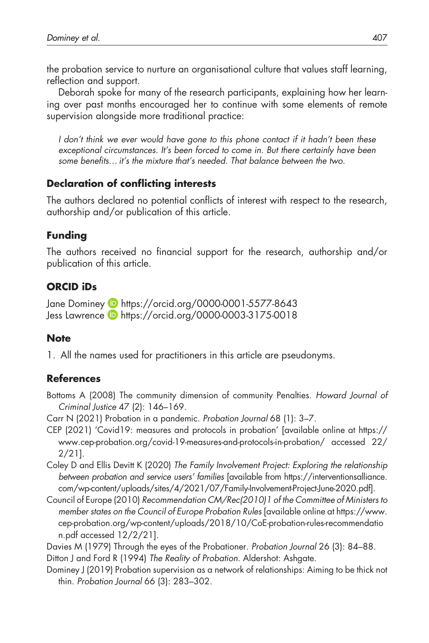the probation service to nurture an organisational culture that values staff learning, reflection and support.

Deborah spoke for many of the research participants, explaining how her learning over past months encouraged her to continue with some elements of remote supervision alongside more traditional practice:

I don't think we ever would have gone to this phone contact if it hadn't been these exceptional circumstances. It's been forced to come in. But there certainly have been some benefits... it's the mixture that's needed. That balance between the two.

### Declaration of conflicting interests

The authors declared no potential conflicts of interest with respect to the research, authorship and/or publication of this article.

## Funding

The authors received no financial support for the research, authorship and/or publication of this article.

## ORCID iDs

Jane Dominey **b** <https://orcid.org/0000-0001-5577-8643> Jess Lawrence **b** <https://orcid.org/0000-0003-3175-0018>

## **Note**

1. All the names used for practitioners in this article are pseudonyms.

## References

- Bottoms A (2008) The community dimension of community Penalties. Howard Journal of Criminal Justice 47 (2): 146–169.
- Carr N (2021) Probation in a pandemic. Probation Journal 68 (1): 3–7.
- CEP (2021) 'Covid19: measures and protocols in probation' [available online at [https://](https://www.cep-probation.org/covid-19-measures-and-protocols-in-probation/) [www.cep-probation.org/covid-19-measures-and-protocols-in-probation/](https://www.cep-probation.org/covid-19-measures-and-protocols-in-probation/) accessed 22/ 2/21].
- Coley D and Ellis Devitt K (2020) The Family Involvement Project: Exploring the relationship between probation and service users' families [available from [https://interventionsalliance.](https://interventionsalliance.com/wp-content/uploads/sites/4/2021/07/Family-Involvement-Project-June-2020.pdf) [com/wp-content/uploads/sites/4/2021/07/Family-Involvement-Project-June-2020.pdf](https://interventionsalliance.com/wp-content/uploads/sites/4/2021/07/Family-Involvement-Project-June-2020.pdf)].
- Council of Europe (2010) Recommendation CM/Rec(2010)1 of the Committee of Ministers to member states on the Council of Europe Probation Rules [available online at [https://www.](https://www.cep-probation.org/wp-content/uploads/2018/10/CoE-probation-rules-recommendation.pdf) [cep-probation.org/wp-content/uploads/2018/10/CoE-probation-rules-recommendatio](https://www.cep-probation.org/wp-content/uploads/2018/10/CoE-probation-rules-recommendation.pdf) [n.pdf](https://www.cep-probation.org/wp-content/uploads/2018/10/CoE-probation-rules-recommendation.pdf) accessed 12/2/21].

Davies M (1979) Through the eyes of the Probationer. Probation Journal 26 (3): 84–88. Ditton J and Ford R (1994) The Reality of Probation. Aldershot: Ashgate.

Dominey J (2019) Probation supervision as a network of relationships: Aiming to be thick not thin. Probation Journal 66 (3): 283–302.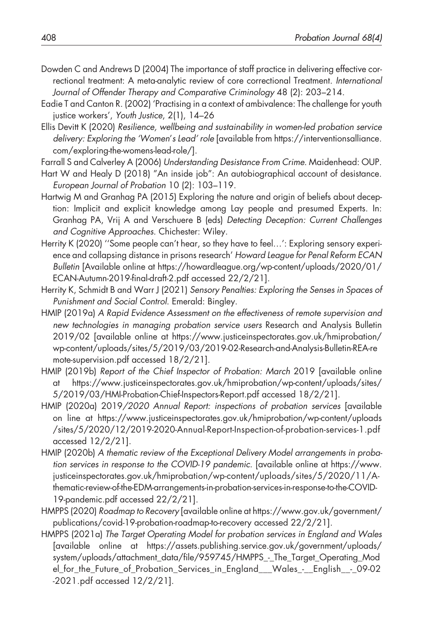- Dowden C and Andrews D (2004) The importance of staff practice in delivering effective correctional treatment: A meta-analytic review of core correctional Treatment. International Journal of Offender Therapy and Comparative Criminology 48 (2): 203–214.
- Eadie T and Canton R. (2002) 'Practising in a context of ambivalence: The challenge for youth justice workers', Youth Justice, 2(1), 14–26
- Ellis Devitt K (2020) Resilience, wellbeing and sustainability in women-led probation service delivery: Exploring the 'Women's Lead' role [available from [https://interventionsalliance.](https://interventionsalliance.com/exploring-the-womens-lead-role/) [com/exploring-the-womens-lead-role/](https://interventionsalliance.com/exploring-the-womens-lead-role/)].

Farrall S and Calverley A (2006) Understanding Desistance From Crime. Maidenhead: OUP.

- Hart W and Healy D (2018) "An inside job": An autobiographical account of desistance. European Journal of Probation 10 (2): 103–119.
- Hartwig M and Granhag PA (2015) Exploring the nature and origin of beliefs about deception: Implicit and explicit knowledge among Lay people and presumed Experts. In: Granhag PA, Vrij A and Verschuere B (eds) Detecting Deception: Current Challenges and Cognitive Approaches. Chichester: Wiley.
- Herrity K (2020) ''Some people can't hear, so they have to feel…': Exploring sensory experience and collapsing distance in prisons research' Howard League for Penal Reform ECAN Bulletin [Available online at [https://howardleague.org/wp-content/uploads/2020/01/](https://howardleague.org/wp-content/uploads/2020/01/ECAN-Autumn-2019-final-draft-2.pdf) [ECAN-Autumn-2019-](https://howardleague.org/wp-content/uploads/2020/01/ECAN-Autumn-2019-final-draft-2.pdf)final-draft-2.pdf accessed 22/2/21].
- Herrity K, Schmidt B and Warr J (2021) Sensory Penalties: Exploring the Senses in Spaces of Punishment and Social Control. Emerald: Bingley.
- HMIP (2019a) A Rapid Evidence Assessment on the effectiveness of remote supervision and new technologies in managing probation service users Research and Analysis Bulletin 2019/02 [available online at [https://www.justiceinspectorates.gov.uk/hmiprobation/](https://www.justiceinspectorates.gov.uk/hmiprobation/wp-content/uploads/sites/5/2019/03/2019-02-Research-and-Analysis-Bulletin-REA-remote-supervision.pdf) [wp-content/uploads/sites/5/2019/03/2019-02-Research-and-Analysis-Bulletin-REA-re](https://www.justiceinspectorates.gov.uk/hmiprobation/wp-content/uploads/sites/5/2019/03/2019-02-Research-and-Analysis-Bulletin-REA-remote-supervision.pdf) [mote-supervision.pdf](https://www.justiceinspectorates.gov.uk/hmiprobation/wp-content/uploads/sites/5/2019/03/2019-02-Research-and-Analysis-Bulletin-REA-remote-supervision.pdf) accessed 18/2/21].
- HMIP (2019b) Report of the Chief Inspector of Probation: March 2019 [available online at [https://www.justiceinspectorates.gov.uk/hmiprobation/wp-content/uploads/sites/](https://www.justiceinspectorates.gov.uk/hmiprobation/wp-content/uploads/sites/5/2019/03/HMI-Probation-Chief-Inspectors-Report.pdf) [5/2019/03/HMI-Probation-Chief-Inspectors-Report.pdf](https://www.justiceinspectorates.gov.uk/hmiprobation/wp-content/uploads/sites/5/2019/03/HMI-Probation-Chief-Inspectors-Report.pdf) accessed 18/2/21].
- HMIP (2020a) 2019/2020 Annual Report: inspections of probation services [available on line at [https://www.justiceinspectorates.gov.uk/hmiprobation/wp-content/uploads](https://www.justiceinspectorates.gov.uk/hmiprobation/wp-content/uploads/sites/5/2020/12/2019-2020-Annual-Report-Inspection-of-probation-services-1.pdf) [/sites/5/2020/12/2019-2020-Annual-Report-Inspection-of-probation-services-1.pdf](https://www.justiceinspectorates.gov.uk/hmiprobation/wp-content/uploads/sites/5/2020/12/2019-2020-Annual-Report-Inspection-of-probation-services-1.pdf) accessed 12/2/21].
- HMIP (2020b) A thematic review of the Exceptional Delivery Model arrangements in probation services in response to the COVID-19 pandemic. [available online at [https://www.](https://www.justiceinspectorates.gov.uk/hmiprobation/wp-content/uploads/sites/5/2020/11/A-thematic-review-of-the-EDM-arrangements-in-probation-services-in-response-to-the-COVID-19-pandemic.pdf) [justiceinspectorates.gov.uk/hmiprobation/wp-content/uploads/sites/5/2020/11/A](https://www.justiceinspectorates.gov.uk/hmiprobation/wp-content/uploads/sites/5/2020/11/A-thematic-review-of-the-EDM-arrangements-in-probation-services-in-response-to-the-COVID-19-pandemic.pdf)[thematic-review-of-the-EDM-arrangements-in-probation-services-in-response-to-the-COVID-](https://www.justiceinspectorates.gov.uk/hmiprobation/wp-content/uploads/sites/5/2020/11/A-thematic-review-of-the-EDM-arrangements-in-probation-services-in-response-to-the-COVID-19-pandemic.pdf)[19-pandemic.pdf](https://www.justiceinspectorates.gov.uk/hmiprobation/wp-content/uploads/sites/5/2020/11/A-thematic-review-of-the-EDM-arrangements-in-probation-services-in-response-to-the-COVID-19-pandemic.pdf) accessed 22/2/21].
- HMPPS (2020) Roadmap to Recovery [available online at [https://www.gov.uk/government/](https://www.gov.uk/government/publications/covid-19-probation-roadmap-to-recovery) [publications/covid-19-probation-roadmap-to-recovery](https://www.gov.uk/government/publications/covid-19-probation-roadmap-to-recovery) accessed 22/2/21].
- HMPPS (2021a) The Target Operating Model for probation services in England and Wales [available online at [https://assets.publishing.service.gov.uk/government/uploads/](https://assets.publishing.service.gov.uk/government/uploads/system/uploads/attachment_data/file/959745/HMPPS_-_The_Target_Operating_Model_for_the_Future_of_Probation_Services_in_England___Wales_-__English__-_09-02-2021.pdf) system/uploads/attachment\_data/fi[le/959745/HMPPS\\_-\\_The\\_Target\\_Operating\\_Mod](https://assets.publishing.service.gov.uk/government/uploads/system/uploads/attachment_data/file/959745/HMPPS_-_The_Target_Operating_Model_for_the_Future_of_Probation_Services_in_England___Wales_-__English__-_09-02-2021.pdf) [el\\_for\\_the\\_Future\\_of\\_Probation\\_Services\\_in\\_England\\_\\_\\_Wales\\_-\\_\\_English\\_\\_-\\_09-02](https://assets.publishing.service.gov.uk/government/uploads/system/uploads/attachment_data/file/959745/HMPPS_-_The_Target_Operating_Model_for_the_Future_of_Probation_Services_in_England___Wales_-__English__-_09-02-2021.pdf) [-2021.pdf](https://assets.publishing.service.gov.uk/government/uploads/system/uploads/attachment_data/file/959745/HMPPS_-_The_Target_Operating_Model_for_the_Future_of_Probation_Services_in_England___Wales_-__English__-_09-02-2021.pdf) accessed 12/2/21].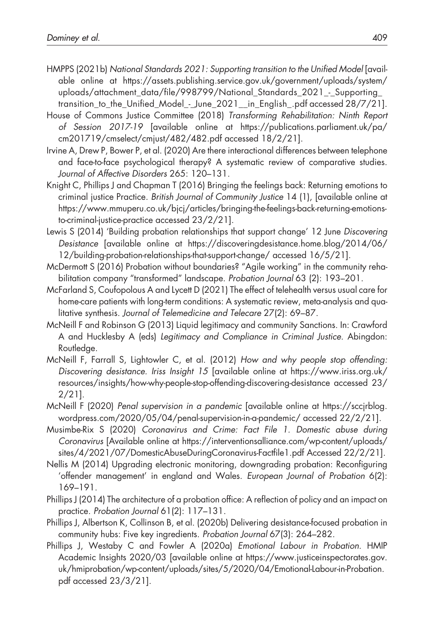- HMPPS (2021b) National Standards 2021: Supporting transition to the Unified Model [available online at [https://assets.publishing.service.gov.uk/government/uploads/system/](https://assets.publishing.service.gov.uk/government/uploads/system/uploads/attachment_data/file/998799/National_Standards_2021_-_Supporting_transition_to_the_Unified_Model_-_June_2021__in_English_.pdf) uploads/attachment\_data/fi[le/998799/National\\_Standards\\_2021\\_-\\_Supporting\\_](https://assets.publishing.service.gov.uk/government/uploads/system/uploads/attachment_data/file/998799/National_Standards_2021_-_Supporting_transition_to_the_Unified_Model_-_June_2021__in_English_.pdf) transition to the Unified Model - June 2021 in English .pdf accessed 28/7/21].
- House of Commons Justice Committee (2018) Transforming Rehabilitation: Ninth Report of Session 2017-19 [available online at [https://publications.parliament.uk/pa/](https://publications.parliament.uk/pa/cm201719/cmselect/cmjust/482/482.pdf) [cm201719/cmselect/cmjust/482/482.pdf](https://publications.parliament.uk/pa/cm201719/cmselect/cmjust/482/482.pdf) accessed 18/2/21].
- Irvine A, Drew P, Bower P, et al. (2020) Are there interactional differences between telephone and face-to-face psychological therapy? A systematic review of comparative studies. Journal of Affective Disorders 265: 120–131.
- Knight C, Phillips J and Chapman T (2016) Bringing the feelings back: Returning emotions to criminal justice Practice. British Journal of Community Justice 14 (1), [available online at [https://www.mmuperu.co.uk/bjcj/articles/bringing-the-feelings-back-returning-emotions](https://www.mmuperu.co.uk/bjcj/articles/bringing-the-feelings-back-returning-emotions-to-criminal-justice-practice)[to-criminal-justice-practice](https://www.mmuperu.co.uk/bjcj/articles/bringing-the-feelings-back-returning-emotions-to-criminal-justice-practice) accessed 23/2/21].
- Lewis S (2014) 'Building probation relationships that support change' 12 June Discovering Desistance [available online at [https://discoveringdesistance.home.blog/2014/06/](https://discoveringdesistance.home.blog/2014/06/12/building-probation-relationships-that-support-change/) [12/building-probation-relationships-that-support-change/](https://discoveringdesistance.home.blog/2014/06/12/building-probation-relationships-that-support-change/) accessed 16/5/21].
- McDermott S (2016) Probation without boundaries? "Agile working" in the community rehabilitation company "transformed" landscape. Probation Journal 63 (2): 193–201.
- McFarland S, Coufopolous A and Lycett D (2021) The effect of telehealth versus usual care for home-care patients with long-term conditions: A systematic review, meta-analysis and qualitative synthesis. Journal of Telemedicine and Telecare 27(2): 69–87.
- McNeill F and Robinson G (2013) Liquid legitimacy and community Sanctions. In: Crawford A and Hucklesby A (eds) Legitimacy and Compliance in Criminal Justice. Abingdon: Routledge.
- McNeill F, Farrall S, Lightowler C, et al. (2012) How and why people stop offending: Discovering desistance. Iriss Insight 15 [available online at [https://www.iriss.org.uk/](https://www.iriss.org.uk/resources/insights/how-why-people-stop-offending-discovering-desistance) [resources/insights/how-why-people-stop-offending-discovering-desistance](https://www.iriss.org.uk/resources/insights/how-why-people-stop-offending-discovering-desistance) accessed 23/ 2/21].
- McNeill F (2020) Penal supervision in a pandemic [available online at [https://sccjrblog.](https://sccjrblog.wordpress.com/2020/05/04/penal-supervision-in-a-pandemic/) [wordpress.com/2020/05/04/penal-supervision-in-a-pandemic/](https://sccjrblog.wordpress.com/2020/05/04/penal-supervision-in-a-pandemic/) accessed 22/2/21].
- Musimbe-Rix S (2020) Coronavirus and Crime: Fact File 1. Domestic abuse during Coronavirus [Available online at [https://interventionsalliance.com/wp-content/uploads/](https://interventionsalliance.com/wp-content/uploads/sites/4/2021/07/DomesticAbuseDuringCoronavirus-Factfile1.pdf) [sites/4/2021/07/DomesticAbuseDuringCoronavirus-Fact](https://interventionsalliance.com/wp-content/uploads/sites/4/2021/07/DomesticAbuseDuringCoronavirus-Factfile1.pdf)file1.pdf Accessed 22/2/21].
- Nellis M (2014) Upgrading electronic monitoring, downgrading probation: Reconfiguring 'offender management' in england and Wales. European Journal of Probation 6(2): 169–191.
- Phillips J (2014) The architecture of a probation office: A reflection of policy and an impact on practice. Probation Journal 61(2): 117–131.
- Phillips J, Albertson K, Collinson B, et al. (2020b) Delivering desistance-focused probation in community hubs: Five key ingredients. Probation Journal 67(3): 264–282.
- Phillips J, Westaby C and Fowler A (2020a) Emotional Labour in Probation. HMIP Academic Insights 2020/03 [available online at [https://www.justiceinspectorates.gov.](https://www.justiceinspectorates.gov.uk/hmiprobation/wp-content/uploads/sites/5/2020/04/Emotional-Labour-in-Probation.pdf) [uk/hmiprobation/wp-content/uploads/sites/5/2020/04/Emotional-Labour-in-Probation.](https://www.justiceinspectorates.gov.uk/hmiprobation/wp-content/uploads/sites/5/2020/04/Emotional-Labour-in-Probation.pdf) [pdf](https://www.justiceinspectorates.gov.uk/hmiprobation/wp-content/uploads/sites/5/2020/04/Emotional-Labour-in-Probation.pdf) accessed 23/3/21].